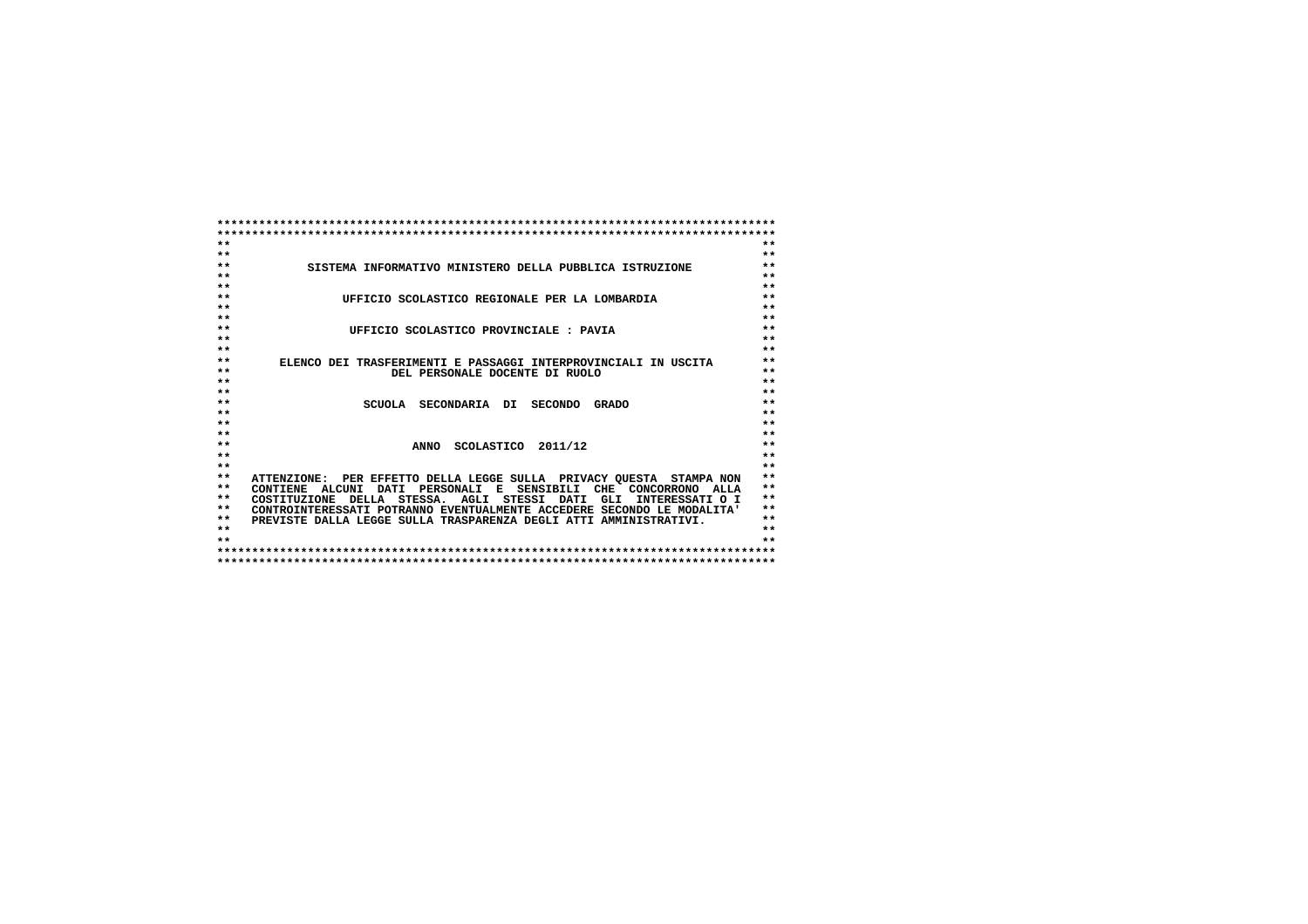| $**$<br>$**$                                                                                                                                                                                                                       |
|------------------------------------------------------------------------------------------------------------------------------------------------------------------------------------------------------------------------------------|
|                                                                                                                                                                                                                                    |
|                                                                                                                                                                                                                                    |
|                                                                                                                                                                                                                                    |
| $***$                                                                                                                                                                                                                              |
| $***$                                                                                                                                                                                                                              |
| $**$                                                                                                                                                                                                                               |
| $**$                                                                                                                                                                                                                               |
| $***$<br>$**$                                                                                                                                                                                                                      |
|                                                                                                                                                                                                                                    |
| $***$<br>$**$                                                                                                                                                                                                                      |
| $**$                                                                                                                                                                                                                               |
| $***$                                                                                                                                                                                                                              |
| $**$                                                                                                                                                                                                                               |
| $***$                                                                                                                                                                                                                              |
| $**$                                                                                                                                                                                                                               |
| $**$                                                                                                                                                                                                                               |
| $**$                                                                                                                                                                                                                               |
| $**$                                                                                                                                                                                                                               |
| $***$                                                                                                                                                                                                                              |
| $***$                                                                                                                                                                                                                              |
| $**$                                                                                                                                                                                                                               |
| $**$                                                                                                                                                                                                                               |
| $**$                                                                                                                                                                                                                               |
| $**$                                                                                                                                                                                                                               |
| $* *$                                                                                                                                                                                                                              |
| $***$                                                                                                                                                                                                                              |
| $**$                                                                                                                                                                                                                               |
| $**$                                                                                                                                                                                                                               |
| $* *$                                                                                                                                                                                                                              |
|                                                                                                                                                                                                                                    |
|                                                                                                                                                                                                                                    |
| ATTENZIONE: PER EFFETTO DELLA LEGGE SULLA PRIVACY OUESTA STAMPA NON<br>CONTIENE ALCUNI DATI PERSONALI E SENSIBILI CHE CONCORRONO ALLA<br>INTERESSATI O I<br>CONTROINTERESSATI POTRANNO EVENTUALMENTE ACCEDERE SECONDO LE MODALITA' |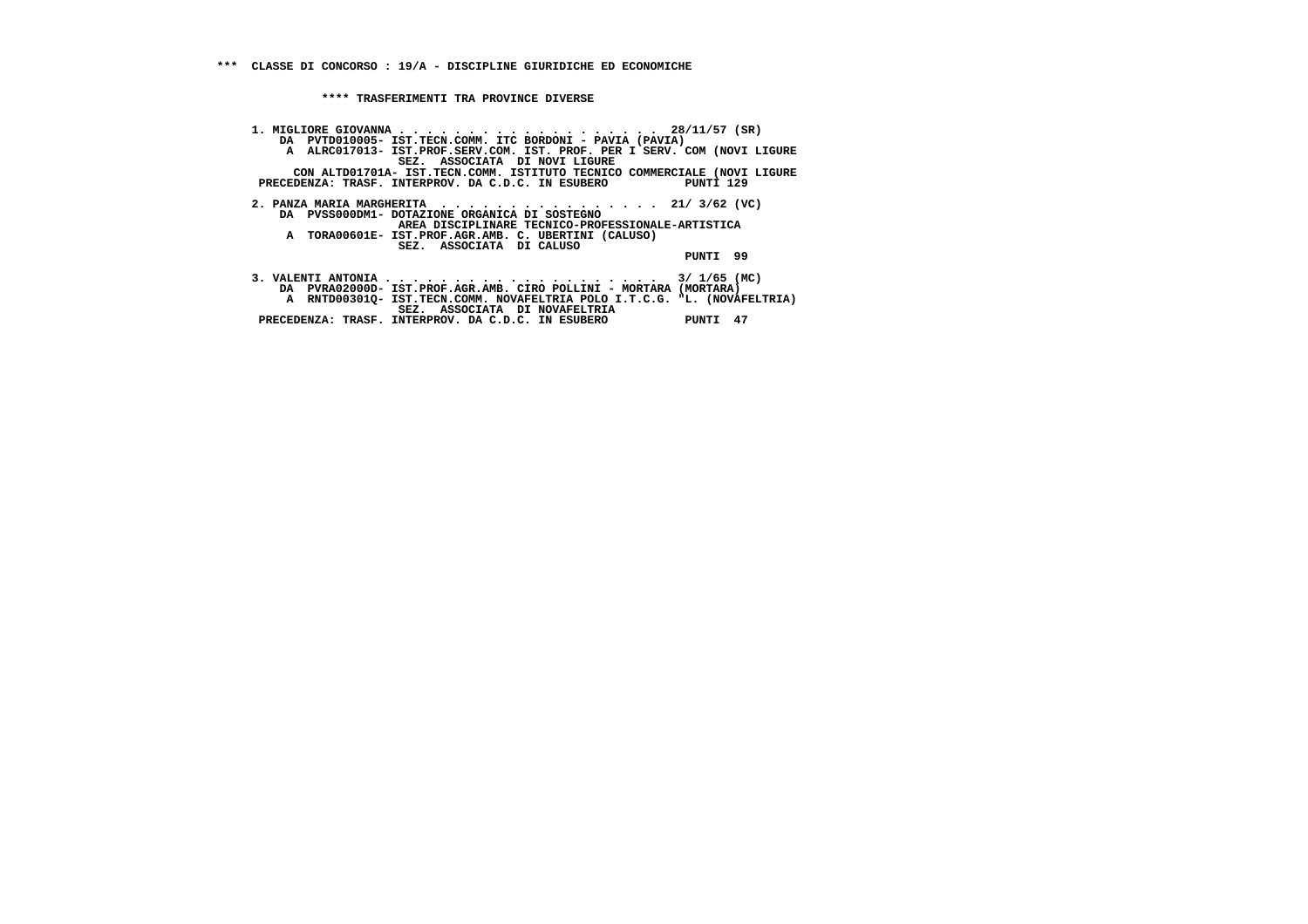**1. MIGLIORE GIOVANNA . . . . . . . . . . . . . . . . . . . 28/11/57 (SR) DA PVTD010005- IST.TECN.COMM. ITC BORDONI - PAVIA (PAVIA) A ALRC017013- IST.PROF.SERV.COM. IST. PROF. PER I SERV. COM (NOVI LIGURE SEZ. ASSOCIATA DI NOVI LIGURE CON ALTD01701A- IST.TECN.COMM. ISTITUTO TECNICO COMMERCIALE (NOVI LIGURE PRECEDENZA: TRASF. INTERPROV. DA C.D.C. IN ESUBERO PUNTI 129 2. PANZA MARIA MARGHERITA . . . . . . . . . . . . . . . . 21/ 3/62 (VC) DA PVSS000DM1- DOTAZIONE ORGANICA DI SOSTEGNO AREA DISCIPLINARE TECNICO-PROFESSIONALE-ARTISTICA A TORA00601E- IST.PROF.AGR.AMB. C. UBERTINI (CALUSO) SEZ. ASSOCIATA DI CALUSO PUNTI 99 3. VALENTI ANTONIA . . . . . . . . . . . . . . . . . . . . 3/ 1/65 (MC) DA PVRA02000D- IST.PROF.AGR.AMB. CIRO POLLINI - MORTARA (MORTARA) A RNTD00301Q- IST.TECN.COMM. NOVAFELTRIA POLO I.T.C.G. "L. (NOVAFELTRIA) SEZ. ASSOCIATA DI NOVAFELTRIA PRECEDENZA: TRASF. INTERPROV. DA C.D.C. IN ESUBERO PUNTI 47**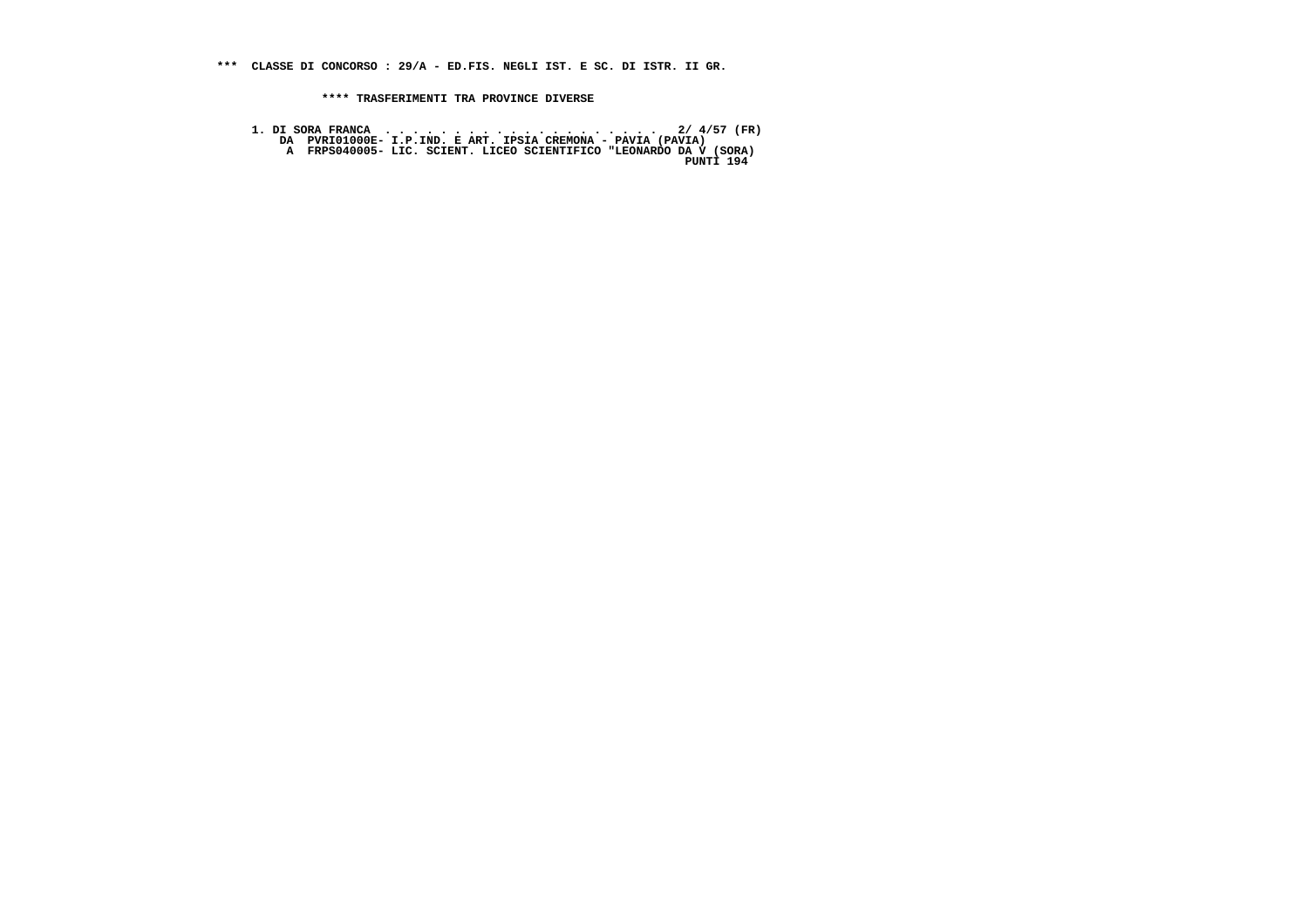**\*\*\* CLASSE DI CONCORSO : 29/A - ED.FIS. NEGLI IST. E SC. DI ISTR. II GR.**

 **\*\*\*\* TRASFERIMENTI TRA PROVINCE DIVERSE**

 **1. DI SORA FRANCA . . . . . . . . . . . . . . . . . . . . 2/ 4/57 (FR) DA PVRI01000E- I.P.IND. E ART. IPSIA CREMONA - PAVIA (PAVIA) A FRPS040005- LIC. SCIENT. LICEO SCIENTIFICO "LEONARDO DA V (SORA) PUNTI 194**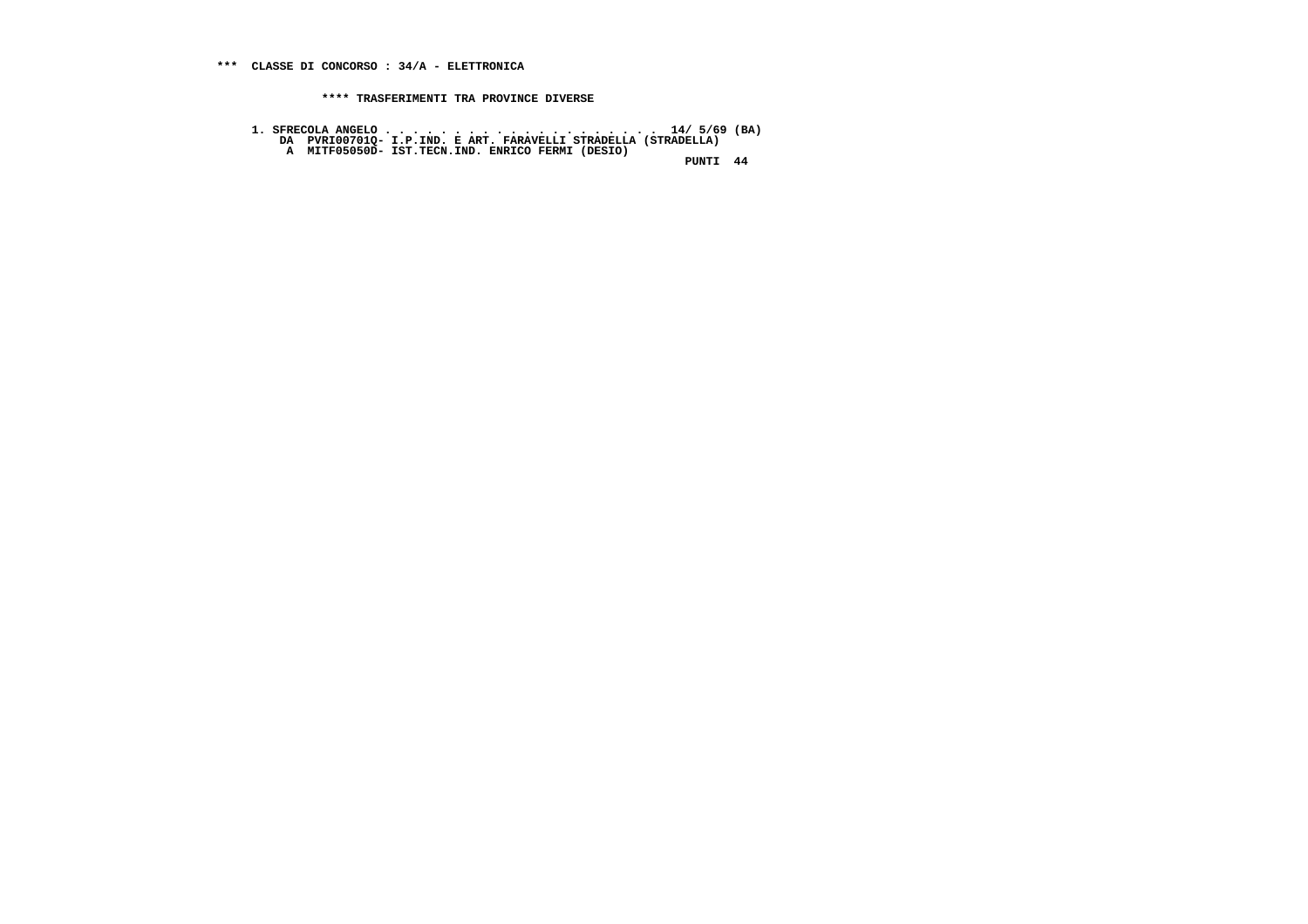- 
- **1. SFRECOLA ANGELO . . . . . . . . . . . . . . . . . . . . 14/ 5/69 (BA) DA PVRI00701Q- I.P.IND. E ART. FARAVELLI STRADELLA (STRADELLA) A MITF05050D- IST.TECN.IND. ENRICO FERMI (DESIO)**

 **PUNTI 44**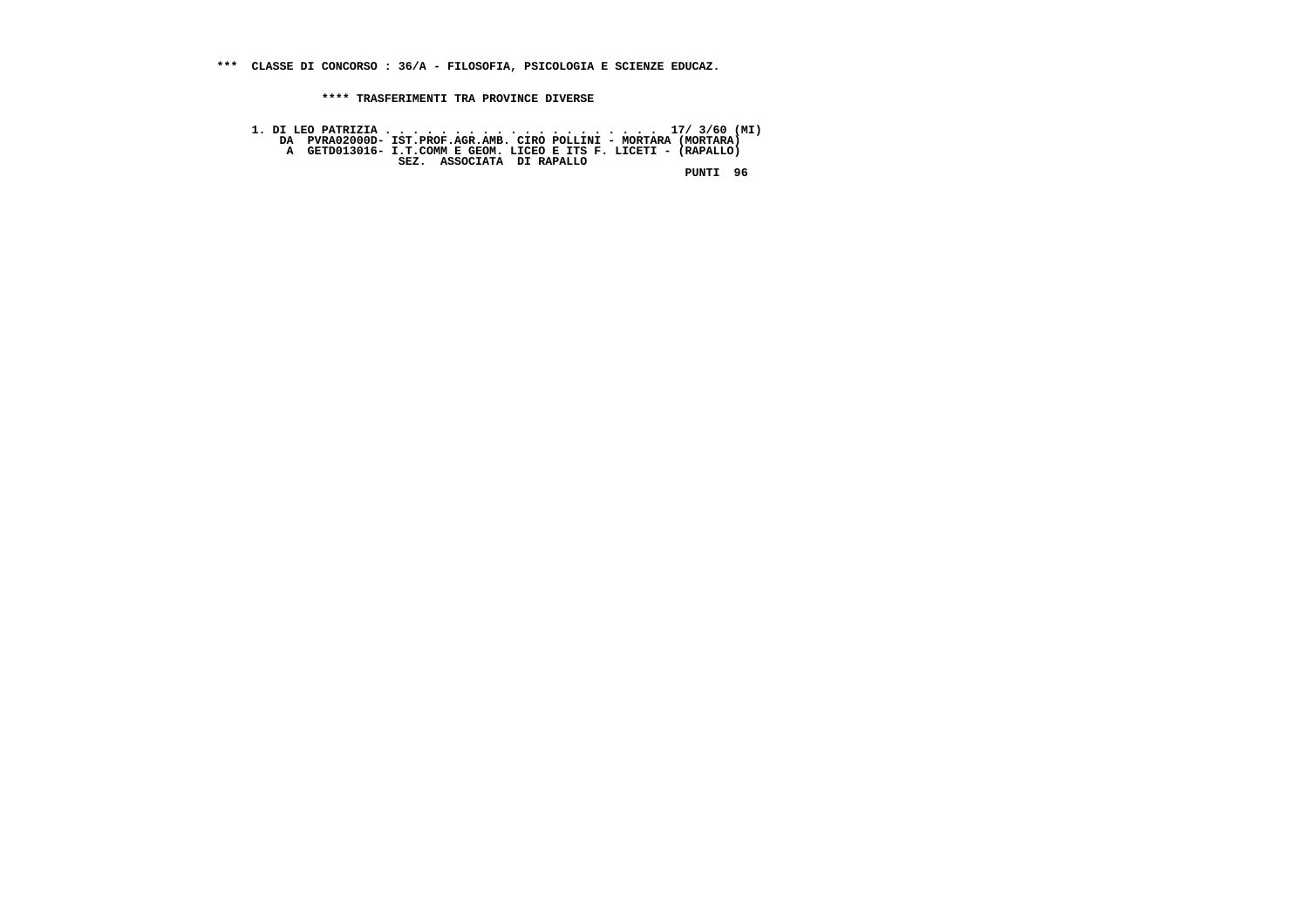**\*\*\* CLASSE DI CONCORSO : 36/A - FILOSOFIA, PSICOLOGIA E SCIENZE EDUCAZ.**

 **\*\*\*\* TRASFERIMENTI TRA PROVINCE DIVERSE**

 **1. DI LEO PATRIZIA . . . . . . . . . . . . . . . . . . . . 17/ 3/60 (MI) DA PVRA02000D- IST.PROF.AGR.AMB. CIRO POLLINI - MORTARA (MORTARA) A GETD013016- I.T.COMM E GEOM. LICEO E ITS F. LICETI - (RAPALLO) SEZ. ASSOCIATA DI RAPALLO PUNTI 96**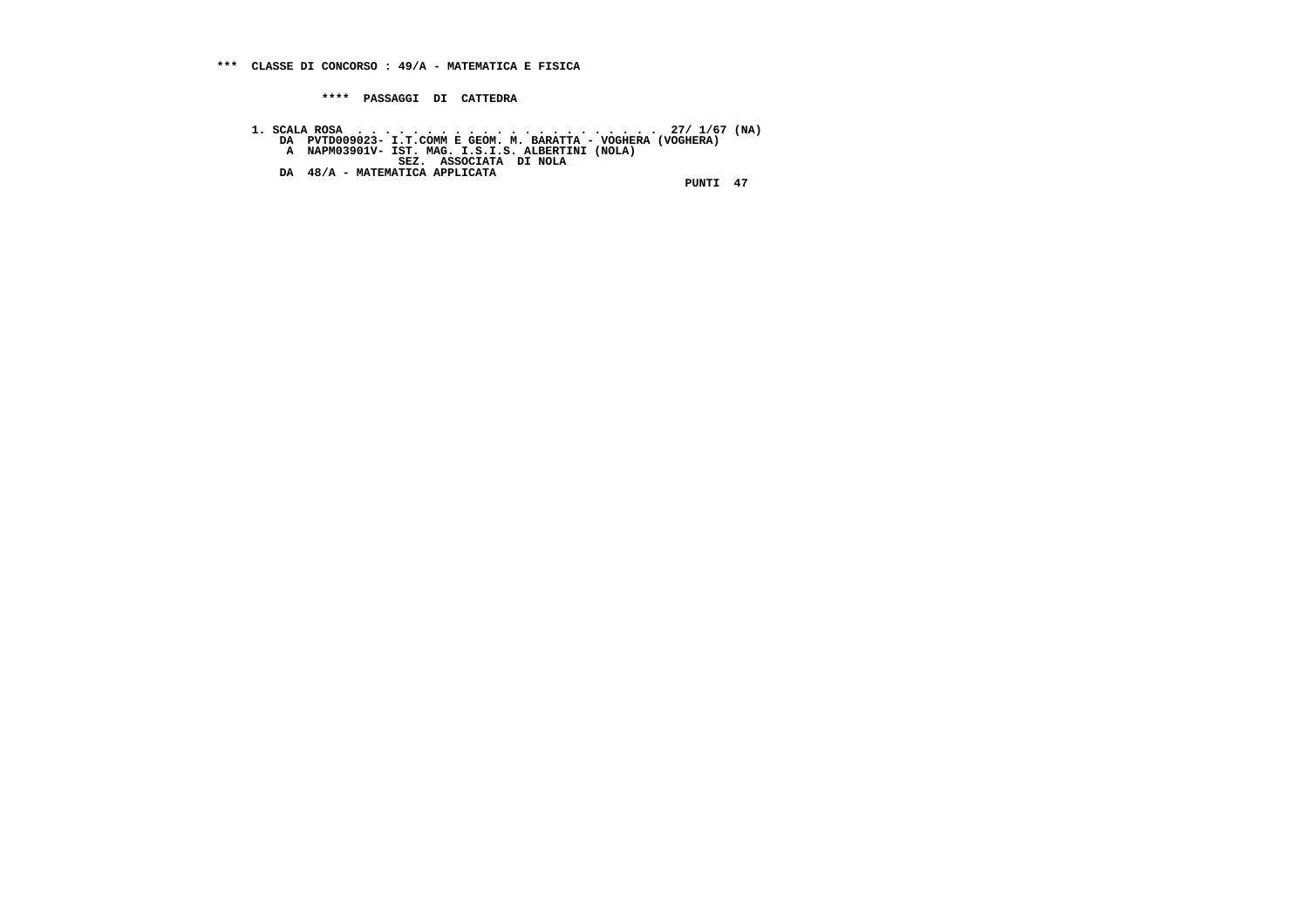**\*\*\*\* PASSAGGI DI CATTEDRA**

 **1. SCALA ROSA . . . . . . . . . . . . . . . . . . . . . . 27/ 1/67 (NA) DA PVTD009023- I.T.COMM E GEOM. M. BARATTA - VOGHERA (VOGHERA) A NAPM03901V- IST. MAG. I.S.I.S. ALBERTINI (NOLA) SEZ. ASSOCIATA DI NOLA DA 48/A - MATEMATICA APPLICATA PUNTI 47**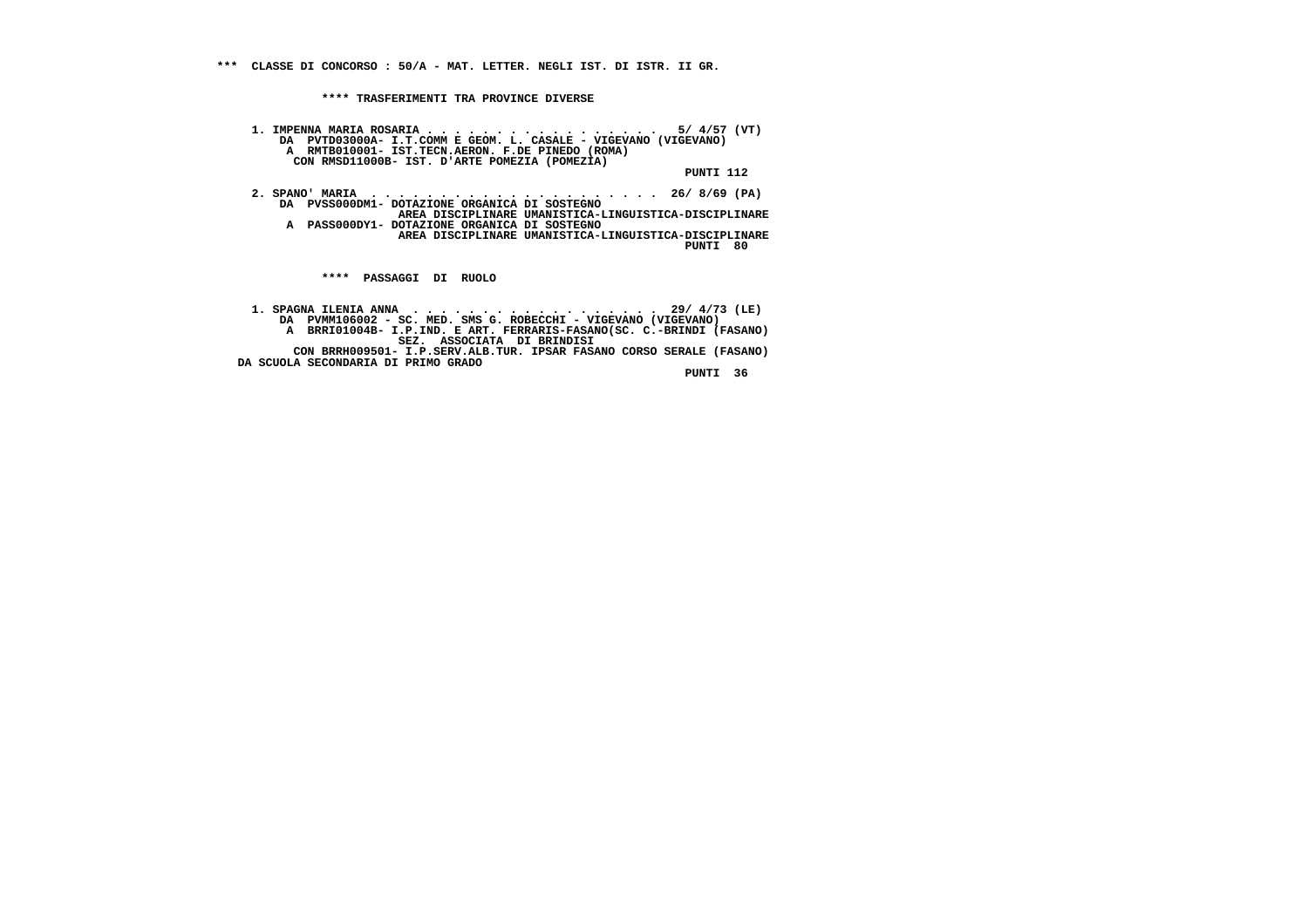**\*\*\* CLASSE DI CONCORSO : 50/A - MAT. LETTER. NEGLI IST. DI ISTR. II GR.**

 **\*\*\*\* TRASFERIMENTI TRA PROVINCE DIVERSE**

 **1. IMPENNA MARIA ROSARIA . . . . . . . . . . . . . . . . . 5/ 4/57 (VT) DA PVTD03000A- I.T.COMM E GEOM. L. CASALE - VIGEVANO (VIGEVANO) A RMTB010001- IST.TECN.AERON. F.DE PINEDO (ROMA) CON RMSD11000B- IST. D'ARTE POMEZIA (POMEZIA)**

 **PUNTI 112**

 **2. SPANO' MARIA . . . . . . . . . . . . . . . . . . . . . 26/ 8/69 (PA) DA PVSS000DM1- DOTAZIONE ORGANICA DI SOSTEGNO AREA DISCIPLINARE UMANISTICA-LINGUISTICA-DISCIPLINARE A PASS000DY1- DOTAZIONE ORGANICA DI SOSTEGNO AREA DISCIPLINARE UMANISTICA-LINGUISTICA-DISCIPLINARE PUNTI 80**

 **\*\*\*\* PASSAGGI DI RUOLO**

 **1. SPAGNA ILENIA ANNA . . . . . . . . . . . . . . . . . . 29/ 4/73 (LE) DA PVMM106002 - SC. MED. SMS G. ROBECCHI - VIGEVANO (VIGEVANO) A BRRI01004B- I.P.IND. E ART. FERRARIS-FASANO(SC. C.-BRINDI (FASANO) SEZ. ASSOCIATA DI BRINDISI CON BRRH009501- I.P.SERV.ALB.TUR. IPSAR FASANO CORSO SERALE (FASANO) DA SCUOLA SECONDARIA DI PRIMO GRADO**

 **PUNTI 36**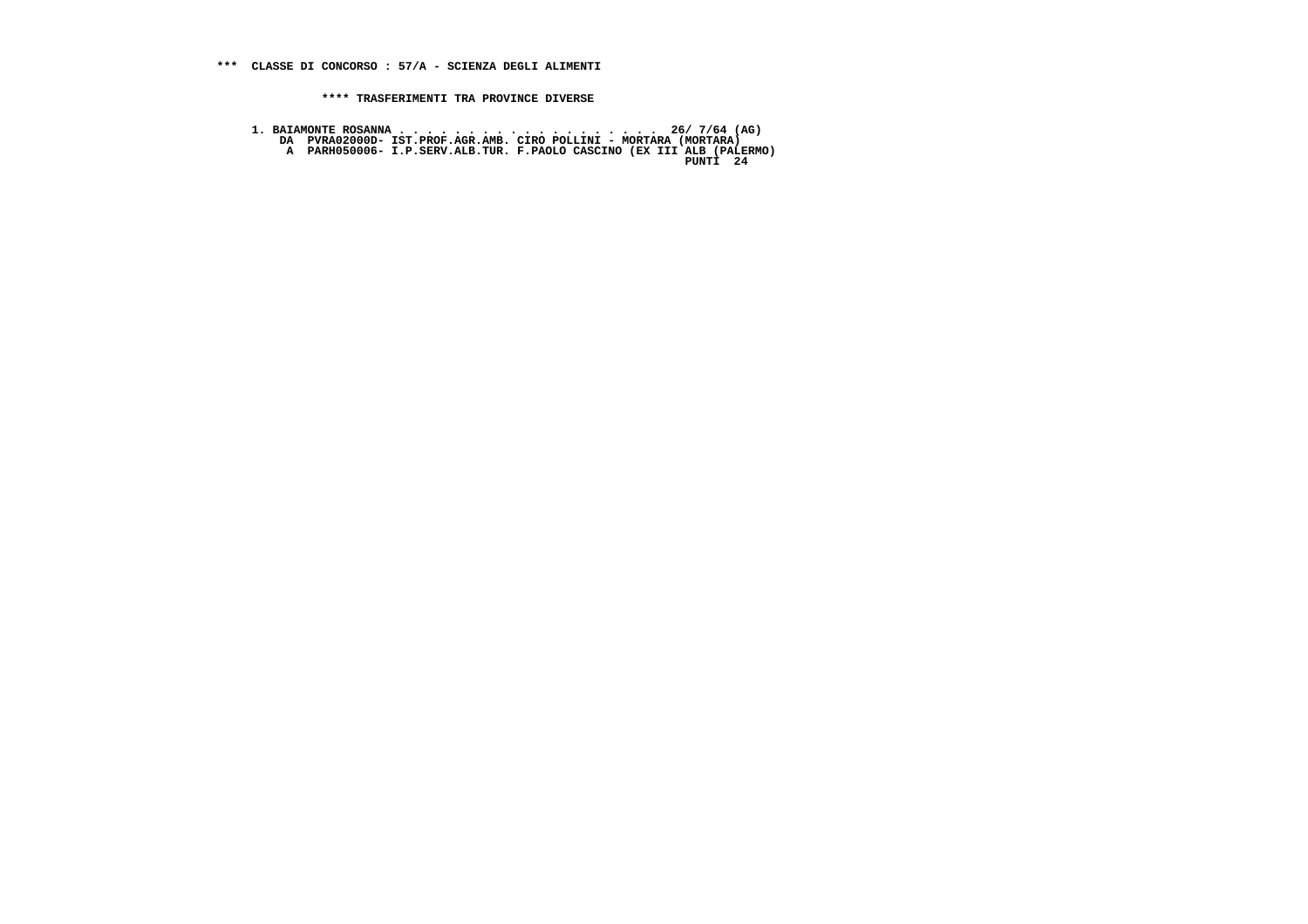**1. BAIAMONTE ROSANNA . . . . . . . . . . . . . . . . . . . 26/ 7/64 (AG) DA PVRA02000D- IST.PROF.AGR.AMB. CIRO POLLINI - MORTARA (MORTARA) A PARH050006- I.P.SERV.ALB.TUR. F.PAOLO CASCINO (EX III ALB (PALERMO) PUNTI 24**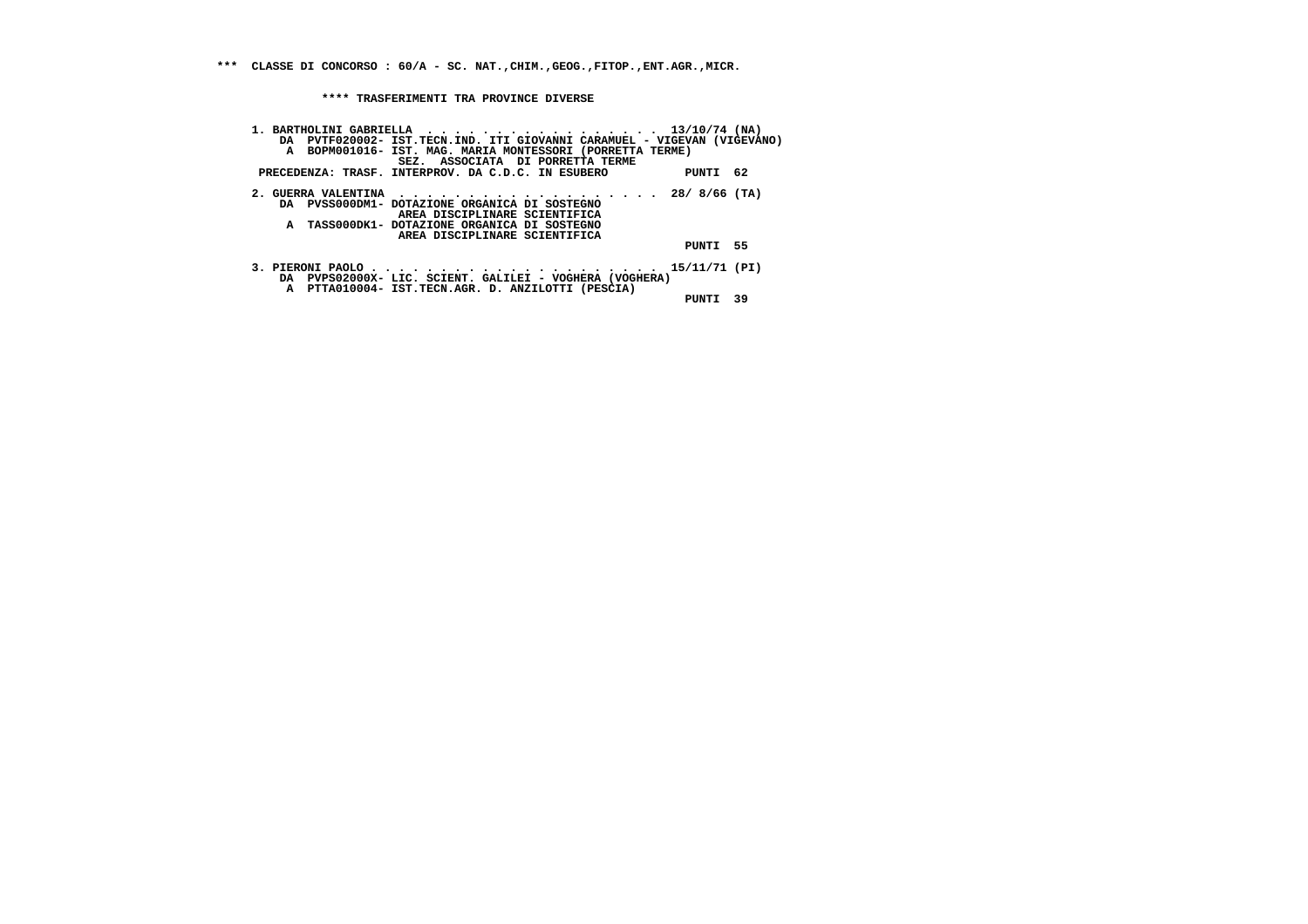**\*\*\* CLASSE DI CONCORSO : 60/A - SC. NAT.,CHIM.,GEOG.,FITOP.,ENT.AGR.,MICR.**

 **\*\*\*\* TRASFERIMENTI TRA PROVINCE DIVERSE**

| 1. BARTHOLINI GABRIELLA 13/10/74 (NA)                                                                        |          |    |
|--------------------------------------------------------------------------------------------------------------|----------|----|
| DA PVTF020002- IST.TECN.IND. ITI GIOVANNI CARAMUEL - VIGEVAN (VIGEVANO)                                      |          |    |
| A BOPM001016- IST. MAG. MARIA MONTESSORI (PORRETTA TERME)<br>SEZ. ASSOCIATA DI PORRETTA TERME                |          |    |
| PRECEDENZA: TRASF. INTERPROV. DA C.D.C. IN ESUBERO                                                           | PUNTI 62 |    |
| 2. GUERRA VALENTINA 28/8/66 (TA)                                                                             |          |    |
| DA PVSS000DM1- DOTAZIONE ORGANICA DI SOSTEGNO<br>AREA DISCIPLINARE SCIENTIFICA                               |          |    |
| A TASS000DK1- DOTAZIONE ORGANICA DI SOSTEGNO                                                                 |          |    |
| AREA DISCIPLINARE SCIENTIFICA                                                                                |          |    |
|                                                                                                              | PUNTI 55 |    |
|                                                                                                              |          |    |
| DA PVPS02000X- LIC. SCIENT. GALILEI - VOGHERA (VOGHERA)<br>A PTTA010004- IST.TECN.AGR. D. ANZILOTTI (PESCIA) |          |    |
|                                                                                                              | PUNTI    | 39 |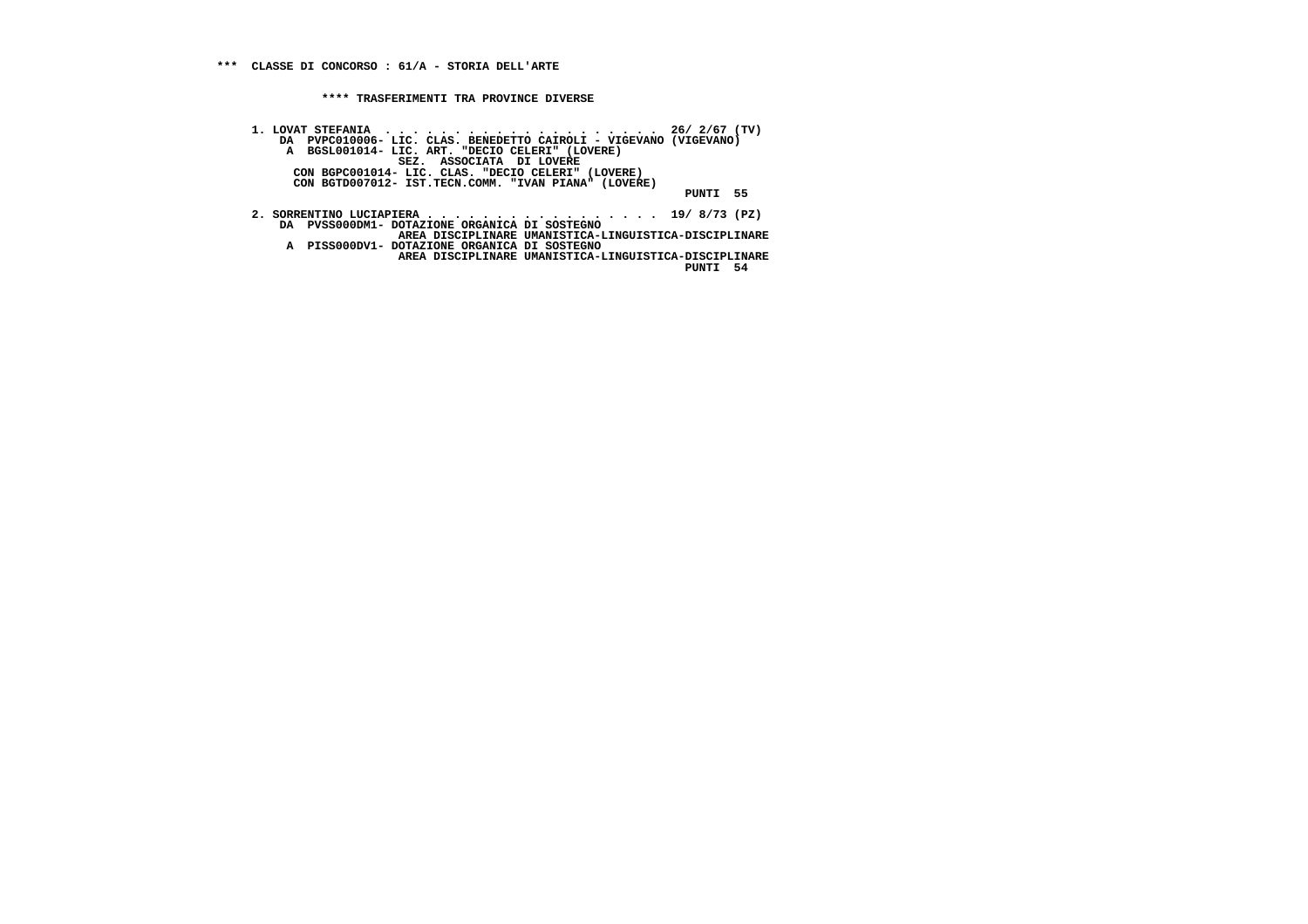**1. LOVAT STEFANIA . . . . . . . . . . . . . . . . . . . . 26/ 2/67 (TV) DA PVPC010006- LIC. CLAS. BENEDETTO CAIROLI - VIGEVANO (VIGEVANO) A BGSL001014- LIC. ART. "DECIO CELERI" (LOVERE) SEZ. ASSOCIATA DI LOVERE CON BGPC001014- LIC. CLAS. "DECIO CELERI" (LOVERE) CON BGTD007012- IST.TECN.COMM. "IVAN PIANA" (LOVERE) PUNTI 55 2. SORRENTINO LUCIAPIERA . . . . . . . . . . . . . . . . . 19/ 8/73 (PZ) DA PVSS000DM1- DOTAZIONE ORGANICA DI SOSTEGNO AREA DISCIPLINARE UMANISTICA-LINGUISTICA-DISCIPLINARE A PISS000DV1- DOTAZIONE ORGANICA DI SOSTEGNO AREA DISCIPLINARE UMANISTICA-LINGUISTICA-DISCIPLINARE PUNTI 54**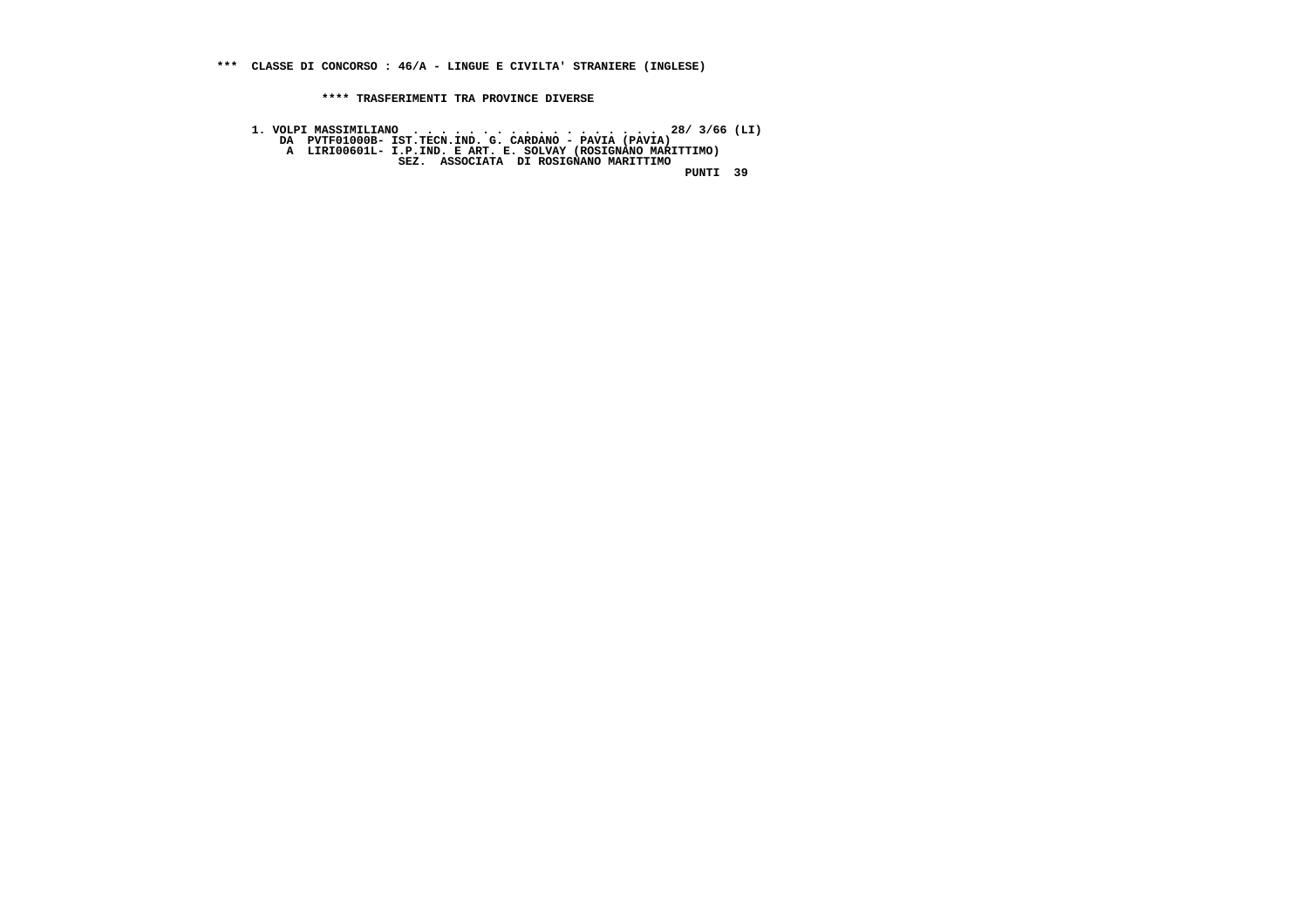**1. VOLPI MASSIMILIANO . . . . . . . . . . . . . . . . . . 28/ 3/66 (LI) DA PVTF01000B- IST.TECN.IND. G. CARDANO - PAVIA (PAVIA) A LIRI00601L- I.P.IND. E ART. E. SOLVAY (ROSIGNANO MARITTIMO) SEZ. ASSOCIATA DI ROSIGNANO MARITTIMO PUNTI 39**